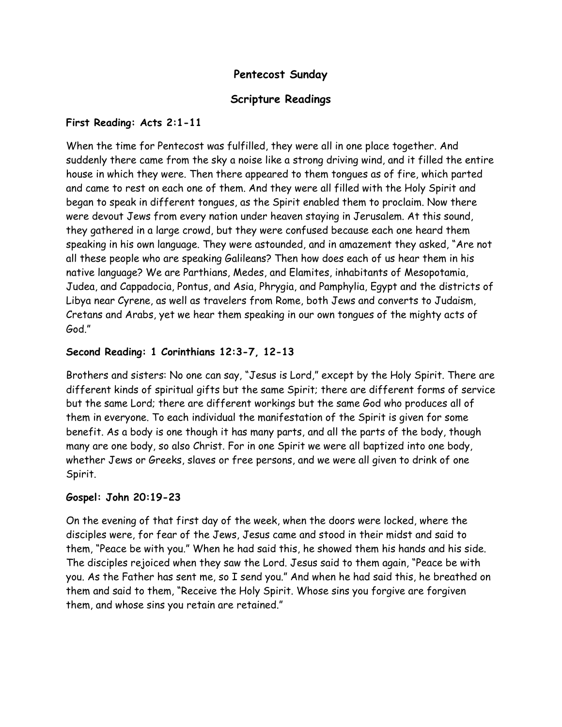## **Pentecost Sunday**

## **Scripture Readings**

### **First Reading: Acts 2:1-11**

When the time for Pentecost was fulfilled, they were all in one place together. And suddenly there came from the sky a noise like a strong driving wind, and it filled the entire house in which they were. Then there appeared to them tongues as of fire, which parted and came to rest on each one of them. And they were all filled with the Holy Spirit and began to speak in different tongues, as the Spirit enabled them to proclaim. Now there were devout Jews from every nation under heaven staying in Jerusalem. At this sound, they gathered in a large crowd, but they were confused because each one heard them speaking in his own language. They were astounded, and in amazement they asked, "Are not all these people who are speaking Galileans? Then how does each of us hear them in his native language? We are Parthians, Medes, and Elamites, inhabitants of Mesopotamia, Judea, and Cappadocia, Pontus, and Asia, Phrygia, and Pamphylia, Egypt and the districts of Libya near Cyrene, as well as travelers from Rome, both Jews and converts to Judaism, Cretans and Arabs, yet we hear them speaking in our own tongues of the mighty acts of God."

## **Second Reading: 1 Corinthians 12:3-7, 12-13**

Brothers and sisters: No one can say, "Jesus is Lord," except by the Holy Spirit. There are different kinds of spiritual gifts but the same Spirit; there are different forms of service but the same Lord; there are different workings but the same God who produces all of them in everyone. To each individual the manifestation of the Spirit is given for some benefit. As a body is one though it has many parts, and all the parts of the body, though many are one body, so also Christ. For in one Spirit we were all baptized into one body, whether Jews or Greeks, slaves or free persons, and we were all given to drink of one Spirit.

### **Gospel: John 20:19-23**

On the evening of that first day of the week, when the doors were locked, where the disciples were, for fear of the Jews, Jesus came and stood in their midst and said to them, "Peace be with you." When he had said this, he showed them his hands and his side. The disciples rejoiced when they saw the Lord. Jesus said to them again, "Peace be with you. As the Father has sent me, so I send you." And when he had said this, he breathed on them and said to them, "Receive the Holy Spirit. Whose sins you forgive are forgiven them, and whose sins you retain are retained."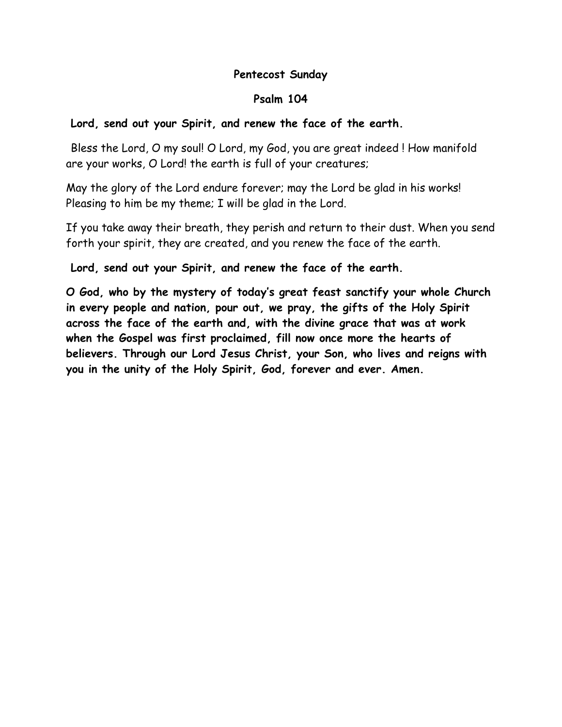## **Pentecost Sunday**

## **Psalm 104**

# **Lord, send out your Spirit, and renew the face of the earth.**

Bless the Lord, O my soul! O Lord, my God, you are great indeed ! How manifold are your works, O Lord! the earth is full of your creatures;

May the glory of the Lord endure forever; may the Lord be glad in his works! Pleasing to him be my theme; I will be glad in the Lord.

If you take away their breath, they perish and return to their dust. When you send forth your spirit, they are created, and you renew the face of the earth.

**Lord, send out your Spirit, and renew the face of the earth.**

**O God, who by the mystery of today's great feast sanctify your whole Church in every people and nation, pour out, we pray, the gifts of the Holy Spirit across the face of the earth and, with the divine grace that was at work when the Gospel was first proclaimed, fill now once more the hearts of believers. Through our Lord Jesus Christ, your Son, who lives and reigns with you in the unity of the Holy Spirit, God, forever and ever. Amen.**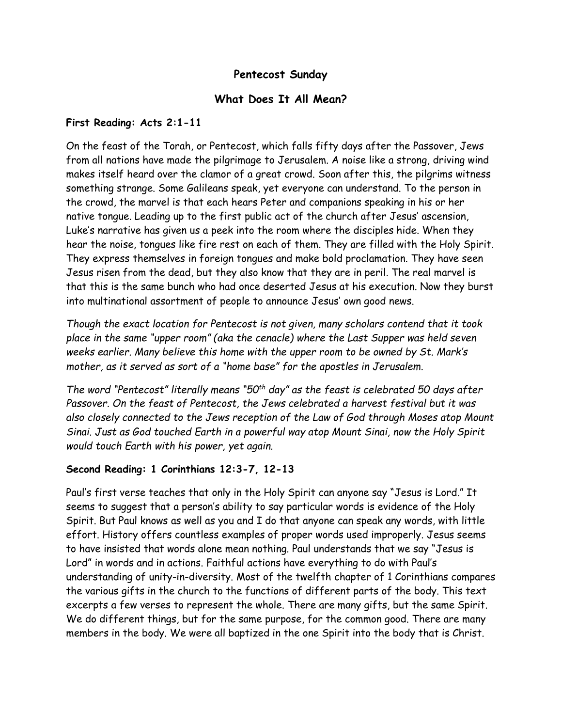## **Pentecost Sunday**

## **What Does It All Mean?**

#### **First Reading: Acts 2:1-11**

On the feast of the Torah, or Pentecost, which falls fifty days after the Passover, Jews from all nations have made the pilgrimage to Jerusalem. A noise like a strong, driving wind makes itself heard over the clamor of a great crowd. Soon after this, the pilgrims witness something strange. Some Galileans speak, yet everyone can understand. To the person in the crowd, the marvel is that each hears Peter and companions speaking in his or her native tongue. Leading up to the first public act of the church after Jesus' ascension, Luke's narrative has given us a peek into the room where the disciples hide. When they hear the noise, tongues like fire rest on each of them. They are filled with the Holy Spirit. They express themselves in foreign tongues and make bold proclamation. They have seen Jesus risen from the dead, but they also know that they are in peril. The real marvel is that this is the same bunch who had once deserted Jesus at his execution. Now they burst into multinational assortment of people to announce Jesus' own good news.

*Though the exact location for Pentecost is not given, many scholars contend that it took place in the same "upper room" (aka the cenacle) where the Last Supper was held seven weeks earlier. Many believe this home with the upper room to be owned by St. Mark's mother, as it served as sort of a "home base" for the apostles in Jerusalem.*

*The word "Pentecost" literally means "50th day" as the feast is celebrated 50 days after Passover. On the feast of Pentecost, the Jews celebrated a harvest festival but it was also closely connected to the Jews reception of the Law of God through Moses atop Mount Sinai. Just as God touched Earth in a powerful way atop Mount Sinai, now the Holy Spirit would touch Earth with his power, yet again.*

### **Second Reading: 1 Corinthians 12:3-7, 12-13**

Paul's first verse teaches that only in the Holy Spirit can anyone say "Jesus is Lord." It seems to suggest that a person's ability to say particular words is evidence of the Holy Spirit. But Paul knows as well as you and I do that anyone can speak any words, with little effort. History offers countless examples of proper words used improperly. Jesus seems to have insisted that words alone mean nothing. Paul understands that we say "Jesus is Lord" in words and in actions. Faithful actions have everything to do with Paul's understanding of unity-in-diversity. Most of the twelfth chapter of 1 Corinthians compares the various gifts in the church to the functions of different parts of the body. This text excerpts a few verses to represent the whole. There are many gifts, but the same Spirit. We do different things, but for the same purpose, for the common good. There are many members in the body. We were all baptized in the one Spirit into the body that is Christ.